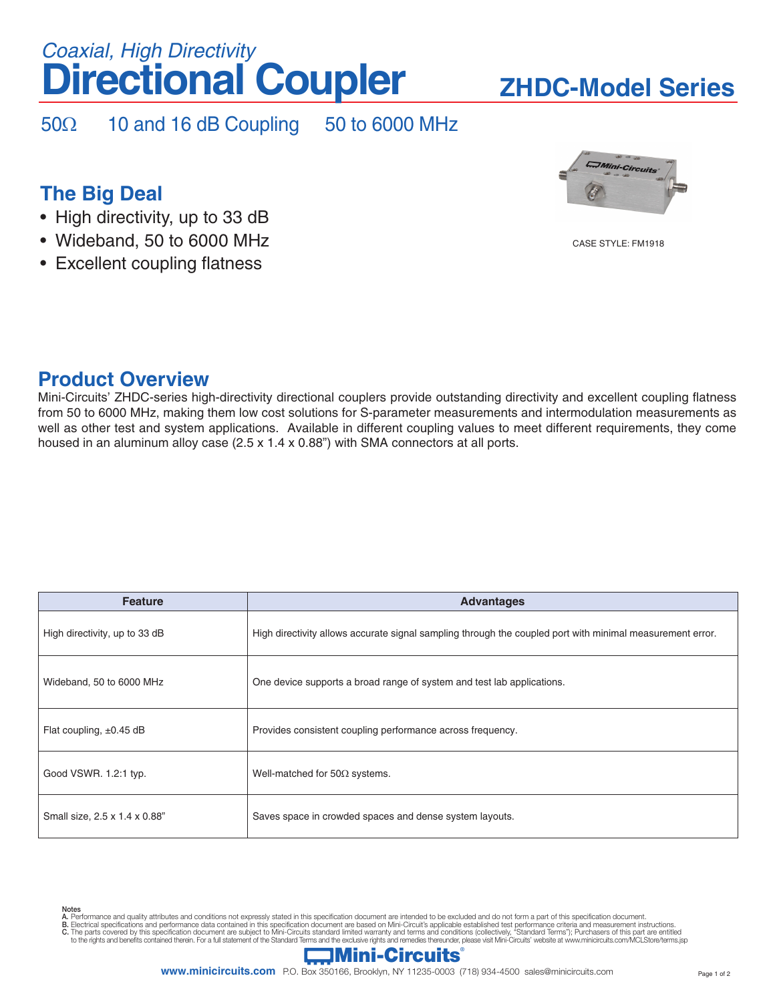# **Directional Coupler** *Coaxial, High Directivity*

# **ZHDC-Model Series**

50Ω 10 and 16 dB Coupling 50 to 6000 MHz

# **The Big Deal**

- High directivity, up to 33 dB
- Wideband, 50 to 6000 MHz
- Excellent coupling flatness



CASE STYLE: FM1918

## **Product Overview**

Notes

Mini-Circuits' ZHDC-series high-directivity directional couplers provide outstanding directivity and excellent coupling flatness from 50 to 6000 MHz, making them low cost solutions for S-parameter measurements and intermodulation measurements as well as other test and system applications. Available in different coupling values to meet different requirements, they come housed in an aluminum alloy case (2.5 x 1.4 x 0.88") with SMA connectors at all ports.

| <b>Feature</b>                | <b>Advantages</b>                                                                                         |  |  |
|-------------------------------|-----------------------------------------------------------------------------------------------------------|--|--|
| High directivity, up to 33 dB | High directivity allows accurate signal sampling through the coupled port with minimal measurement error. |  |  |
| Wideband, 50 to 6000 MHz      | One device supports a broad range of system and test lab applications.                                    |  |  |
| Flat coupling, $\pm 0.45$ dB  | Provides consistent coupling performance across frequency.                                                |  |  |
| Good VSWR. 1.2:1 typ.         | Well-matched for $50\Omega$ systems.                                                                      |  |  |
| Small size, 2.5 x 1.4 x 0.88" | Saves space in crowded spaces and dense system layouts.                                                   |  |  |

A. Performance and quality attributes and conditions not expressly stated in this specification document are intended to be excluded and do not form a part of this specification document.<br>B. Electrical specifications and p